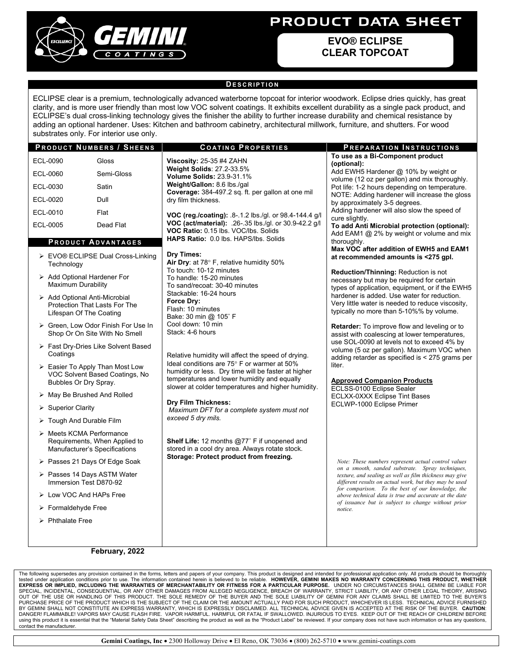

# PRODUCT DATA SHEET

**EVO® ECLIPSE CLEAR TOPCOAT** 

#### **D ESCRIPTION**

ECLIPSE clear is a premium, technologically advanced waterborne topcoat for interior woodwork. Eclipse dries quickly, has great clarity, and is more user friendly than most low VOC solvent coatings. It exhibits excellent durability as a single pack product, and ECLIPSE's dual cross-linking technology gives the finisher the ability to further increase durability and chemical resistance by adding an optional hardener. Uses: Kitchen and bathroom cabinetry, architectural millwork, furniture, and shutters. For wood substrates only. For interior use only.

#### **P RODUCT NUMBERS / S HEENS C OATING P ROPERTIES P REPARATION I NSTRUCTIONS** ECL-0090 Gloss ECL-0060 Semi-Gloss ECL-0030 Satin ECL-0020 Dull ECL-0010 Flat ECL-0005 Dead Flat **Viscosity:** 25-35 #4 ZAHN **Weight Solids**: 27.2-33.5% **Volume Solids:** 23.9-31.1% **Weight/Gallon:** 8.6 lbs./gal **Coverage:** 384-497.2 sq. ft. per gallon at one mil dry film thickness. **VOC (reg./coating):** .8-.1.2 lbs./gl. or 98.4-144.4 g/l **VOC (act/material):** .26-.35 lbs./gl. or 30.9-42.2 g/l **VOC Ratio:** 0.15 lbs. VOC/lbs. Solids **HAPS Ratio:** 0.0 lbs. HAPS/lbs. Solids **Dry Times: Air Dry**: at 78° F, relative humidity 50% To touch: 10-12 minutes To handle: 15-20 minutes To sand/recoat: 30-40 minutes Stackable: 16-24 hours **Force Dry:** Flash: 10 minutes Bake: 30 min @ 105˚ F Cool down: 10 min Stack: 4-6 hours Relative humidity will affect the speed of drying. Ideal conditions are 75° F or warmer at 50% humidity or less. Dry time will be faster at higher temperatures and lower humidity and equally slower at colder temperatures and higher humidity. **Dry Film Thickness:** *Maximum DFT for a complete system must not exceed 5 dry mils.* **Shelf Life:** 12 months @77˚ F if unopened and stored in a cool dry area. Always rotate stock. **Storage: Protect product from freezing. To use as a Bi-Component product (optional):**  Add EWH5 Hardener @ 10% by weight or volume (12 oz per gallon) and mix thoroughly. Pot life: 1-2 hours depending on temperature. NOTE: Adding hardener will increase the gloss by approximately 3-5 degrees. Adding hardener will also slow the speed of cure slightly. **To add Anti Microbial protection (optional):** Add EAM1 @ 2% by weight or volume and mix thoroughly. **Max VOC after addition of EWH5 and EAM1 at recommended amounts is <275 gpl. Reduction/Thinning:** Reduction is not necessary but may be required for certain types of application, equipment, or if the EWH5 hardener is added. Use water for reduction. Very little water is needed to reduce viscosity, typically no more than 5-10%% by volume. **Retarder:** To improve flow and leveling or to assist with coalescing at lower temperatures, use SOL-0090 at levels not to exceed 4% by volume (5 oz per gallon). Maximum VOC when adding retarder as specified is < 275 grams per liter. **Approved Companion Products**  ECLSS-0100 Eclipse Sealer ECLXX-0XXX Eclipse Tint Bases ECLWP-1000 Eclipse Primer **P RODUCT ADVANTAGES** EVO® ECLIPSE Dual Cross-Linking **Technology** > Add Optional Hardener For Maximum Durability > Add Optional Anti-Microbial Protection That Lasts For The Lifespan Of The Coating Green, Low Odor Finish For Use In Shop Or On Site With No Smell Fast Dry-Dries Like Solvent Based **Coatings**  $\triangleright$  Easier To Apply Than Most Low VOC Solvent Based Coatings, No Bubbles Or Dry Spray. May Be Brushed And Rolled  $\triangleright$  Superior Clarity > Tough And Durable Film > Meets KCMA Performance Requirements, When Applied to Manufacturer's Specifications Passes 21 Days Of Edge Soak Passes 14 Days ASTM Water Immersion Test D870-92 Low VOC And HAPs Free Formaldehyde Free  $\triangleright$  Phthalate Free *Note: These numbers represent actual control values on a smooth, sanded substrate. Spray techniques, texture, and sealing as well as film thickness may give different results on actual work, but they may be used for comparison. To the best of our knowledge, the above technical data is true and accurate at the date of issuance but is subject to change without prior notice.*

#### **February, 2022**

The following supersedes any provision contained in the forms, letters and papers of your company. This product is designed and intended for professional application only. All products should be thoroughly<br>tested under app BY GEMINI SHALL NOT CONSTITUTE AN EXPRESS WARRANTY, WHICH IS EXPRESSLY DISCLAIMED. ALL TECHNICAL ADVICE GIVEN IS ACCEPTED AT THE RISK OF THE BUYER. **CAUTION**: DANGER! FLAMMABLE! VAPORS MAY CAUSE FLASH FIRE. VAPOR HARMFUL. HARMFUL OR FATAL IF SWALLOWED. INJURIOUS TO EYES. KEEP OUT OF THE REACH OF CHILDREN! BEFORE using this product it is essential that the "Material Safety Data Sheet" describing the product as well as the "Product Label" be reviewed. If your company does not have such information or has any questions, contact the manufacturer.